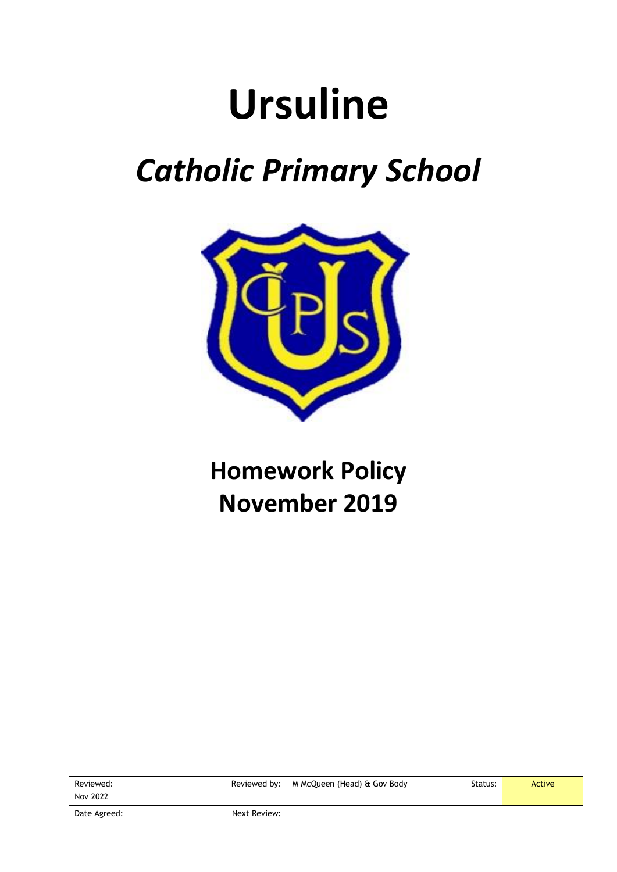# **Ursuline**

## *Catholic Primary School*



### **Homework Policy November 2019**

Reviewed: Nov 2022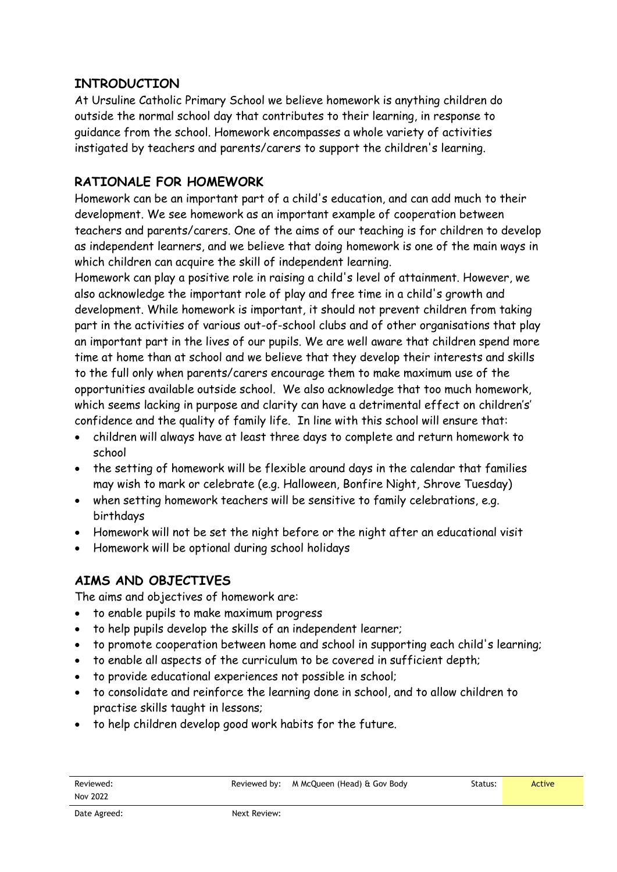#### **INTRODUCTION**

At Ursuline Catholic Primary School we believe homework is anything children do outside the normal school day that contributes to their learning, in response to guidance from the school. Homework encompasses a whole variety of activities instigated by teachers and parents/carers to support the children's learning.

#### **RATIONALE FOR HOMEWORK**

Homework can be an important part of a child's education, and can add much to their development. We see homework as an important example of cooperation between teachers and parents/carers. One of the aims of our teaching is for children to develop as independent learners, and we believe that doing homework is one of the main ways in which children can acquire the skill of independent learning.

Homework can play a positive role in raising a child's level of attainment. However, we also acknowledge the important role of play and free time in a child's growth and development. While homework is important, it should not prevent children from taking part in the activities of various out-of-school clubs and of other organisations that play an important part in the lives of our pupils. We are well aware that children spend more time at home than at school and we believe that they develop their interests and skills to the full only when parents/carers encourage them to make maximum use of the opportunities available outside school. We also acknowledge that too much homework, which seems lacking in purpose and clarity can have a detrimental effect on children's' confidence and the quality of family life. In line with this school will ensure that:

- children will always have at least three days to complete and return homework to school
- the setting of homework will be flexible around days in the calendar that families may wish to mark or celebrate (e.g. Halloween, Bonfire Night, Shrove Tuesday)
- when setting homework teachers will be sensitive to family celebrations, e.g. birthdays
- Homework will not be set the night before or the night after an educational visit
- Homework will be optional during school holidays

#### **AIMS AND OBJECTIVES**

The aims and objectives of homework are:

- to enable pupils to make maximum progress
- to help pupils develop the skills of an independent learner;
- to promote cooperation between home and school in supporting each child's learning;
- to enable all aspects of the curriculum to be covered in sufficient depth;
- to provide educational experiences not possible in school;
- to consolidate and reinforce the learning done in school, and to allow children to practise skills taught in lessons;
- to help children develop good work habits for the future.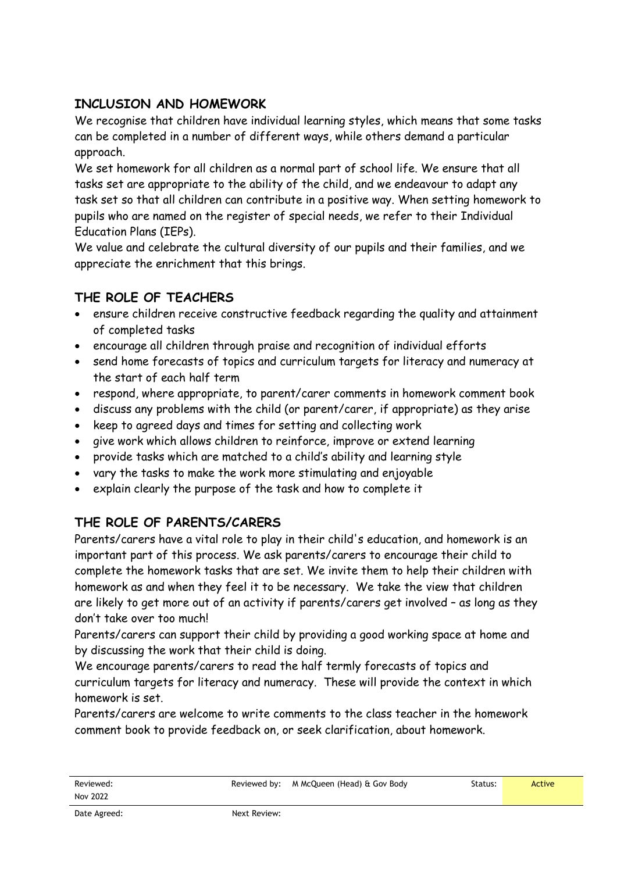#### **INCLUSION AND HOMEWORK**

We recognise that children have individual learning styles, which means that some tasks can be completed in a number of different ways, while others demand a particular approach.

We set homework for all children as a normal part of school life. We ensure that all tasks set are appropriate to the ability of the child, and we endeavour to adapt any task set so that all children can contribute in a positive way. When setting homework to pupils who are named on the register of special needs, we refer to their Individual Education Plans (IEPs).

We value and celebrate the cultural diversity of our pupils and their families, and we appreciate the enrichment that this brings.

#### **THE ROLE OF TEACHERS**

- ensure children receive constructive feedback regarding the quality and attainment of completed tasks
- encourage all children through praise and recognition of individual efforts
- send home forecasts of topics and curriculum targets for literacy and numeracy at the start of each half term
- respond, where appropriate, to parent/carer comments in homework comment book
- discuss any problems with the child (or parent/carer, if appropriate) as they arise
- keep to agreed days and times for setting and collecting work
- give work which allows children to reinforce, improve or extend learning
- provide tasks which are matched to a child's ability and learning style
- vary the tasks to make the work more stimulating and enjoyable
- explain clearly the purpose of the task and how to complete it

#### **THE ROLE OF PARENTS/CARERS**

Parents/carers have a vital role to play in their child's education, and homework is an important part of this process. We ask parents/carers to encourage their child to complete the homework tasks that are set. We invite them to help their children with homework as and when they feel it to be necessary. We take the view that children are likely to get more out of an activity if parents/carers get involved – as long as they don't take over too much!

Parents/carers can support their child by providing a good working space at home and by discussing the work that their child is doing.

We encourage parents/carers to read the half termly forecasts of topics and curriculum targets for literacy and numeracy. These will provide the context in which homework is set.

Parents/carers are welcome to write comments to the class teacher in the homework comment book to provide feedback on, or seek clarification, about homework.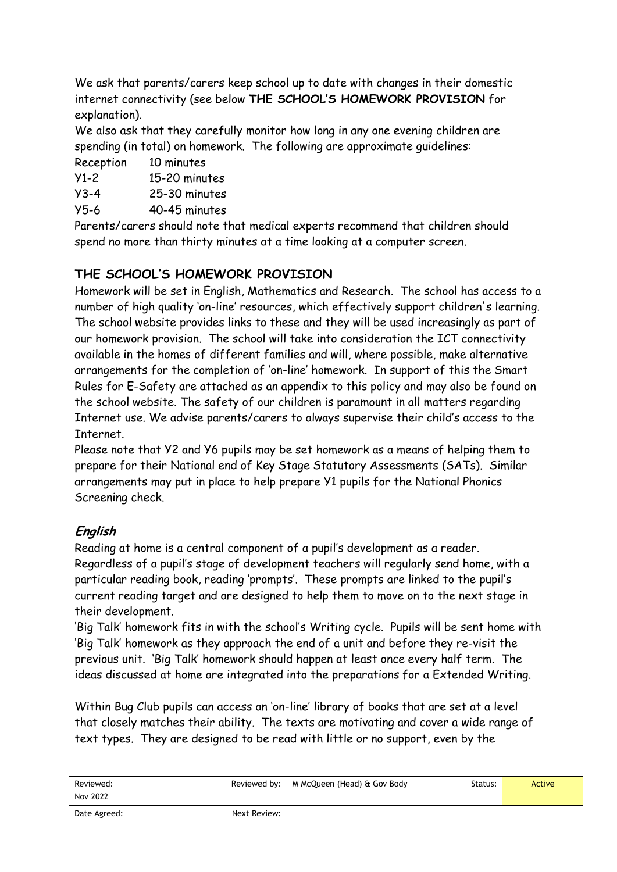We ask that parents/carers keep school up to date with changes in their domestic internet connectivity (see below **THE SCHOOL'S HOMEWORK PROVISION** for explanation).

We also ask that they carefully monitor how long in any one evening children are spending (in total) on homework. The following are approximate guidelines:

Reception 10 minutes

Y1-2 15-20 minutes

Y3-4 25-30 minutes

Y5-6 40-45 minutes

Parents/carers should note that medical experts recommend that children should spend no more than thirty minutes at a time looking at a computer screen.

#### **THE SCHOOL'S HOMEWORK PROVISION**

Homework will be set in English, Mathematics and Research. The school has access to a number of high quality 'on-line' resources, which effectively support children's learning. The school website provides links to these and they will be used increasingly as part of our homework provision. The school will take into consideration the ICT connectivity available in the homes of different families and will, where possible, make alternative arrangements for the completion of 'on-line' homework. In support of this the Smart Rules for E-Safety are attached as an appendix to this policy and may also be found on the school website. The safety of our children is paramount in all matters regarding Internet use. We advise parents/carers to always supervise their child's access to the Internet.

Please note that Y2 and Y6 pupils may be set homework as a means of helping them to prepare for their National end of Key Stage Statutory Assessments (SATs). Similar arrangements may put in place to help prepare Y1 pupils for the National Phonics Screening check.

#### **English**

Reading at home is a central component of a pupil's development as a reader. Regardless of a pupil's stage of development teachers will regularly send home, with a particular reading book, reading 'prompts'. These prompts are linked to the pupil's current reading target and are designed to help them to move on to the next stage in their development.

'Big Talk' homework fits in with the school's Writing cycle. Pupils will be sent home with 'Big Talk' homework as they approach the end of a unit and before they re-visit the previous unit. 'Big Talk' homework should happen at least once every half term. The ideas discussed at home are integrated into the preparations for a Extended Writing.

Within Bug Club pupils can access an 'on-line' library of books that are set at a level that closely matches their ability. The texts are motivating and cover a wide range of text types. They are designed to be read with little or no support, even by the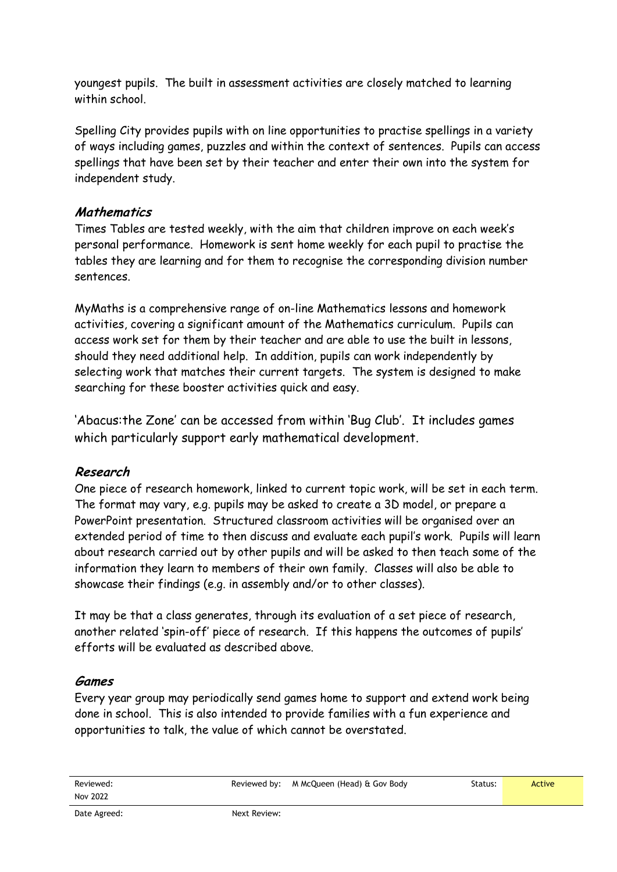youngest pupils. The built in assessment activities are closely matched to learning within school.

Spelling City provides pupils with on line opportunities to practise spellings in a variety of ways including games, puzzles and within the context of sentences. Pupils can access spellings that have been set by their teacher and enter their own into the system for independent study.

#### **Mathematics**

Times Tables are tested weekly, with the aim that children improve on each week's personal performance. Homework is sent home weekly for each pupil to practise the tables they are learning and for them to recognise the corresponding division number sentences.

MyMaths is a comprehensive range of on-line Mathematics lessons and homework activities, covering a significant amount of the Mathematics curriculum. Pupils can access work set for them by their teacher and are able to use the built in lessons, should they need additional help. In addition, pupils can work independently by selecting work that matches their current targets. The system is designed to make searching for these booster activities quick and easy.

'Abacus:the Zone' can be accessed from within 'Bug Club'. It includes games which particularly support early mathematical development.

#### **Research**

One piece of research homework, linked to current topic work, will be set in each term. The format may vary, e.g. pupils may be asked to create a 3D model, or prepare a PowerPoint presentation. Structured classroom activities will be organised over an extended period of time to then discuss and evaluate each pupil's work. Pupils will learn about research carried out by other pupils and will be asked to then teach some of the information they learn to members of their own family. Classes will also be able to showcase their findings (e.g. in assembly and/or to other classes).

It may be that a class generates, through its evaluation of a set piece of research, another related 'spin-off' piece of research. If this happens the outcomes of pupils' efforts will be evaluated as described above.

#### **Games**

Every year group may periodically send games home to support and extend work being done in school. This is also intended to provide families with a fun experience and opportunities to talk, the value of which cannot be overstated.

Reviewed: Nov 2022 Reviewed by: M McQueen (Head) & Gov Body Status: Status: Native